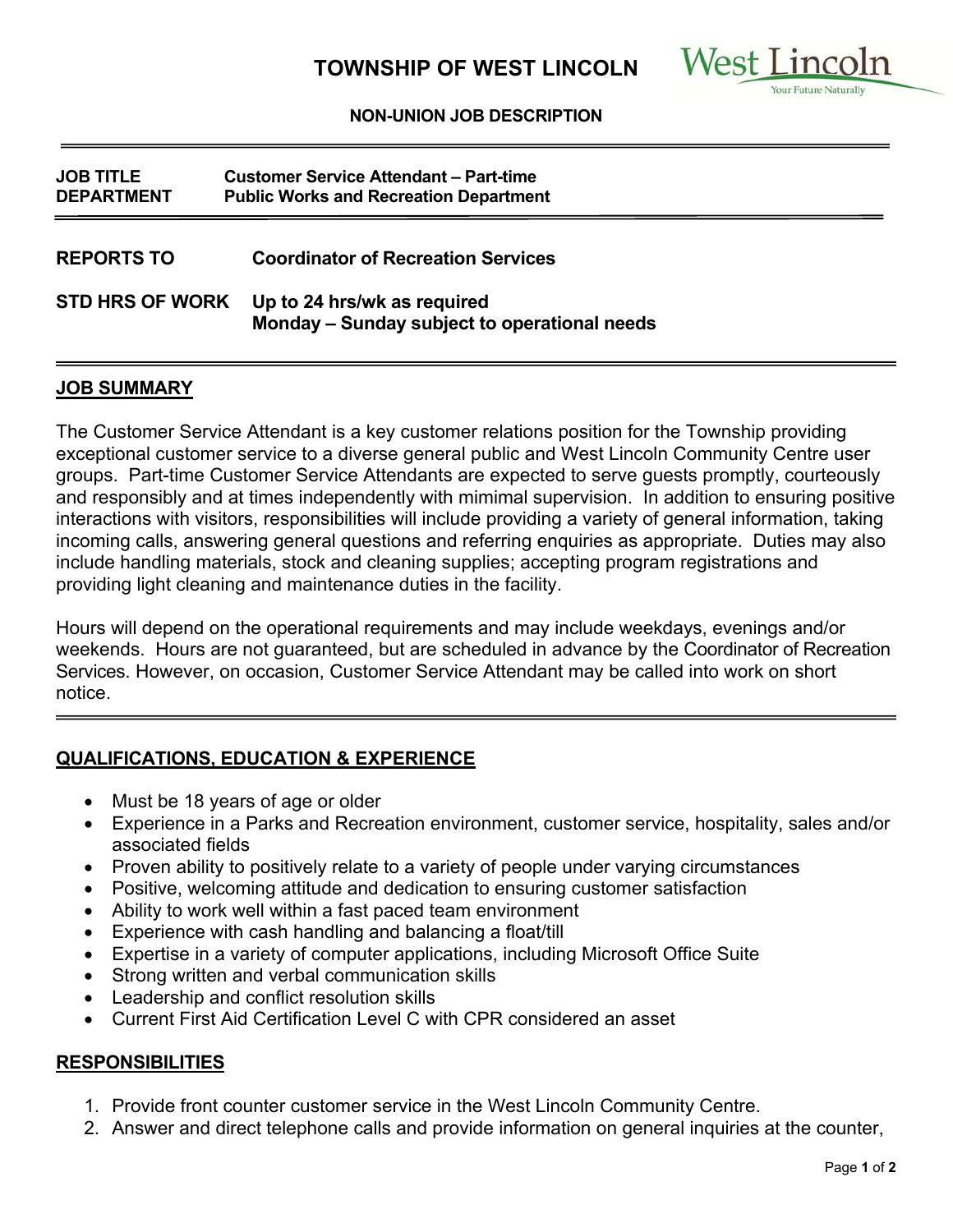

#### **NON-UNION JOB DESCRIPTION**

| <b>JOB TITLE</b><br><b>DEPARTMENT</b> | <b>Customer Service Attendant - Part-time</b><br><b>Public Works and Recreation Department</b> |
|---------------------------------------|------------------------------------------------------------------------------------------------|
| <b>REPORTS TO</b>                     | <b>Coordinator of Recreation Services</b>                                                      |
| <b>STD HRS OF WORK</b>                | Up to 24 hrs/wk as required<br>Monday - Sunday subject to operational needs                    |

### **JOB SUMMARY**

The Customer Service Attendant is a key customer relations position for the Township providing exceptional customer service to a diverse general public and West Lincoln Community Centre user groups. Part-time Customer Service Attendants are expected to serve guests promptly, courteously and responsibly and at times independently with mimimal supervision. In addition to ensuring positive interactions with visitors, responsibilities will include providing a variety of general information, taking incoming calls, answering general questions and referring enquiries as appropriate. Duties may also include handling materials, stock and cleaning supplies; accepting program registrations and providing light cleaning and maintenance duties in the facility.

Hours will depend on the operational requirements and may include weekdays, evenings and/or weekends. Hours are not guaranteed, but are scheduled in advance by the Coordinator of Recreation Services. However, on occasion, Customer Service Attendant may be called into work on short notice.

## **QUALIFICATIONS, EDUCATION & EXPERIENCE**

- Must be 18 years of age or older
- Experience in a Parks and Recreation environment, customer service, hospitality, sales and/or associated fields
- Proven ability to positively relate to a variety of people under varying circumstances
- Positive, welcoming attitude and dedication to ensuring customer satisfaction
- Ability to work well within a fast paced team environment
- Experience with cash handling and balancing a float/till
- Expertise in a variety of computer applications, including Microsoft Office Suite
- Strong written and verbal communication skills
- Leadership and conflict resolution skills
- Current First Aid Certification Level C with CPR considered an asset

## **RESPONSIBILITIES**

- 1. Provide front counter customer service in the West Lincoln Community Centre.
- 2. Answer and direct telephone calls and provide information on general inquiries at the counter,